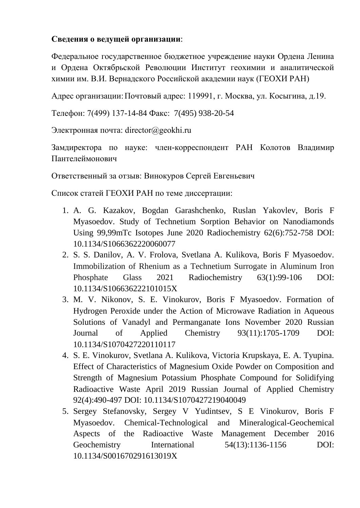## **Сведения о ведущей организации**:

Федеральное государственное бюджетное учреждение науки Ордена Ленина и Ордена Октябрьской Революции Институт геохимии и аналитической химии им. В.И. Вернадского Российской академии наук (ГЕОХИ РАН)

Адрес организации:Почтовый адрес: 119991, г. Москва, ул. Косыгина, д.19.

Телефон: 7(499) 137-14-84 Факс: 7(495) 938-20-54

Электронная почта: director@geokhi.ru

Замдиректора по науке: член-корреспондент РАН Колотов Владимир Пантелеймонович

Ответственный за отзыв: Винокуров Сергей Евгеньевич

Список статей ГЕОХИ РАН по теме диссертации:

- 1. A. G. Kazakov, Bogdan Garashchenko, Ruslan Yakovlev, Boris F Myasoedov. Study of Technetium Sorption Behavior on Nanodiamonds Using 99,99mTc Isotopes June 2020 Radiochemistry 62(6):752-758 DOI: 10.1134/S1066362220060077
- 2. S. S. Danilov, A. V. Frolova, Svetlana A. Kulikova, Boris F Myasoedov. Immobilization of Rhenium as a Technetium Surrogate in Aluminum Iron Phosphate Glass 2021 Radiochemistry 63(1):99-106 DOI: 10.1134/S106636222101015X
- 3. M. V. Nikonov, S. E. Vinokurov, Boris F Myasoedov. Formation of Hydrogen Peroxide under the Action of Microwave Radiation in Aqueous Solutions of Vanadyl and Permanganate Ions November 2020 Russian Journal of Applied Chemistry 93(11):1705-1709 DOI: 10.1134/S1070427220110117
- 4. S. E. Vinokurov, Svetlana A. Kulikova, Victoria Krupskaya, E. A. Tyupina. Effect of Characteristics of Magnesium Oxide Powder on Composition and Strength of Magnesium Potassium Phosphate Compound for Solidifying Radioactive Waste April 2019 Russian Journal of Applied Chemistry 92(4):490-497 DOI: 10.1134/S1070427219040049
- 5. Sergey Stefanovsky, Sergey V Yudintsev, S E Vinokurov, Boris F Myasoedov. Chemical-Technological and Mineralogical-Geochemical Aspects of the Radioactive Waste Management December 2016 Geochemistry International 54(13):1136-1156 DOI: 10.1134/S001670291613019X